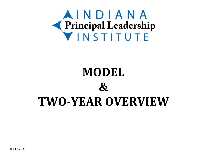

## **MODEL & TWO-YEAR OVERVIEW**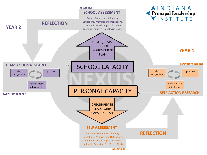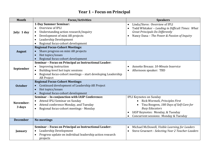## **Year 1 – Focus on Principal**

| Month           | <b>Focus/Activities</b>                                                   | <b>Speakers</b>                                                |
|-----------------|---------------------------------------------------------------------------|----------------------------------------------------------------|
|                 | 1-Day Summer Seminar:                                                     | Linda/Steve: Overview of IPLI<br>$\bullet$                     |
|                 | Overview of IPLI<br>$\bullet$                                             | Todd Whitaker - Leading in Difficult Times: What<br>$\bullet$  |
| July: 1 day     | Understanding action research/inquiry<br>$\bullet$                        | <b>Great Principals Do Differently</b>                         |
|                 | Development of mini AR projects                                           | Nancy Dana - The Power & Passion of Inquiry<br>$\bullet$       |
|                 | Leadership Development                                                    |                                                                |
|                 | Regional focus-cohort development                                         |                                                                |
|                 | <b>Regional Focus-Cohort Meetings:</b>                                    |                                                                |
| <b>August</b>   | Share progress on mini AR projects                                        |                                                                |
|                 | Hot topics/issues                                                         |                                                                |
|                 | Regional focus-cohort development                                         |                                                                |
|                 | Seminar - Focus on Principal as Instructional Leader:                     |                                                                |
|                 | Improving instruction                                                     | Annette Breaux: 10-Minute Inservice<br>$\bullet$               |
| September       | Building-level hot topic sessions                                         | Afternoon speaker: TBD<br>$\bullet$                            |
|                 | Regional focus-cohort meetings - start developing Leadership<br>$\bullet$ |                                                                |
|                 | <b>AR Project</b>                                                         |                                                                |
|                 | <b>Regional Focus-Cohort Meetings:</b>                                    |                                                                |
| <b>October</b>  | Continued development of Leadership AR Project                            |                                                                |
|                 | Hot topics/issues                                                         |                                                                |
|                 | Regional focus-cohort development                                         |                                                                |
|                 | Seminar - In conjunction with IASP Conference:                            | <b>IPLI Keynotes on Sunday</b>                                 |
| November:       | Attend IPLI Seminar on Sunday                                             | Rick Wormeli, Principles First                                 |
| 3 days          | Attend conference Monday, and Tuesday                                     | Tina Boogren, 180 Days of Self-Care for                        |
|                 | Regional focus-cohort meetings - Monday                                   | <b>Busy Educators</b>                                          |
|                 |                                                                           | IASP Keynotes: Monday, & Tuesday                               |
|                 |                                                                           | Concurrent sessions: Monday & Tuesday<br>$\bullet$             |
| <b>December</b> | <b>No meetings</b>                                                        |                                                                |
|                 | Seminar - Focus on Principal as Instructional Leader:                     | Michael McDowell, Visible Learning for Leaders<br>$\bullet$    |
| January         | Leadership Development                                                    | Steve Gruenert - Selecting Year 2 Teacher-Leaders<br>$\bullet$ |
|                 | Progress update on individual leadership action research                  |                                                                |
|                 | projects                                                                  |                                                                |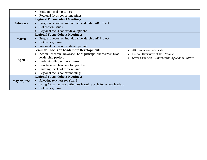|                    | Building-level hot topics                                        |                                                            |
|--------------------|------------------------------------------------------------------|------------------------------------------------------------|
|                    | Regional focus-cohort meetings                                   |                                                            |
|                    | <b>Regional Focus-Cohort Meetings:</b>                           |                                                            |
| <b>February</b>    | Progress report on individual Leadership AR Project              |                                                            |
|                    | Hot topics/issues                                                |                                                            |
|                    | Regional focus-cohort development                                |                                                            |
|                    | <b>Regional Focus-Cohort Meetings:</b>                           |                                                            |
| <b>March</b>       | Progress report on individual Leadership AR Project              |                                                            |
|                    | Hot topics/issues                                                |                                                            |
|                    | Regional focus-cohort development                                |                                                            |
|                    | <b>Seminar - Focus on Leadership Development:</b>                | AR Showcase Celebration<br>$\bullet$                       |
|                    | Action Research Showcase: Each principal shares results of AR    | Linda: Overview of IPLI Year 2<br>$\bullet$                |
|                    | leadership project                                               | Steve Gruenert - Understanding School Culture<br>$\bullet$ |
| April              | Understanding school culture                                     |                                                            |
|                    | How to select teachers for year two                              |                                                            |
|                    | Building-level hot topics/issues                                 |                                                            |
|                    | Regional focus-cohort meetings                                   |                                                            |
|                    | <b>Regional Focus-Cohort Meetings:</b>                           |                                                            |
| <b>May or June</b> | Selecting teachers for Year 2                                    |                                                            |
|                    | Using AR as part of continuous learning cycle for school leaders |                                                            |
|                    | Hot topics/issues                                                |                                                            |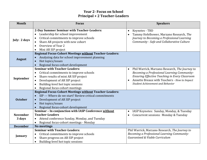## **Year 2- Focus on School Principal + 2 Teacher-Leaders**

| <b>Month</b>              | <b>Focus</b>                                                                                                                                                                                                                                                                        | <b>Speakers</b>                                                                                                                                                                                                                                         |
|---------------------------|-------------------------------------------------------------------------------------------------------------------------------------------------------------------------------------------------------------------------------------------------------------------------------------|---------------------------------------------------------------------------------------------------------------------------------------------------------------------------------------------------------------------------------------------------------|
| July: 2 days              | 2-Day Summer Seminar with Teacher-Leaders:<br>Leadership for school improvement<br>Critical commitments to improve schools<br>$\bullet$<br>Share AR projects with new cohort<br>$\bullet$<br>Overview of Year 2<br>$\bullet$<br>Mini AR SIP project                                 | Keynotes - TBD<br>$\bullet$<br>Tammy Hefelbower, Marzano Research, The<br>$\bullet$<br>Journey to Becoming a Professional Learning<br>Community - Safe and Collaborative Culture                                                                        |
| <b>August</b>             | <b>Regional Focus-Cohort Meetings without Teacher-Leaders:</b><br>Analyzing data for school improvement planning<br>Hot topics/issues<br>$\bullet$<br>Regional focus-cohort development                                                                                             |                                                                                                                                                                                                                                                         |
| September                 | <b>Seminar with Teacher-Leaders:</b><br>Critical commitments to improve schools<br>$\bullet$<br>Share results of mini AR SIP project<br>$\bullet$<br>Development of AR SIP project<br>$\bullet$<br>Building-level hot topic sessions<br>$\bullet$<br>Regional focus-cohort meetings | Phil Warrick, Marzano Research, The Journey to<br>$\bullet$<br>Becoming a Professional Learning Community-<br>Ensuring Effective Teaching in Every Classroom<br>Annette Breaux with Teachers - How to Impact<br><b>Student Achievement and Behavior</b> |
| <b>October</b>            | <b>Regional Focus-Cohort Meetings without Teacher-Leaders:</b><br>SIP --- Where do we start? Review critical commitments<br>Development of AR SIP project<br>$\bullet$<br>Hot topics/issues<br>$\bullet$<br>Regional focus-cohort development                                       |                                                                                                                                                                                                                                                         |
| <b>November</b><br>3 days | Seminar - In conjunction with IASP Conference without<br><b>Teacher-Leaders</b><br>Attend conference Sunday, Monday, and Tuesday<br>$\bullet$<br>Regional focus-cohort meetings - Monday                                                                                            | IASP Keynotes: Sunday, Monday, & Tuesday<br>$\bullet$<br>Concurrent sessions: Monday & Tuesday<br>$\bullet$                                                                                                                                             |
| <b>December</b>           | <b>No meetings</b>                                                                                                                                                                                                                                                                  |                                                                                                                                                                                                                                                         |
| January                   | <b>Seminar with Teacher-Leaders:</b><br>Critical commitments to improve schools<br>$\bullet$<br>Share progress on AR SIP project<br>$\bullet$<br>Building-level hot topic sessions<br>$\bullet$                                                                                     | Phil Warrick, Marzano Research, The Journey to<br>Becoming a Professional Learning Community-<br>Guaranteed & Viable Curriculum                                                                                                                         |